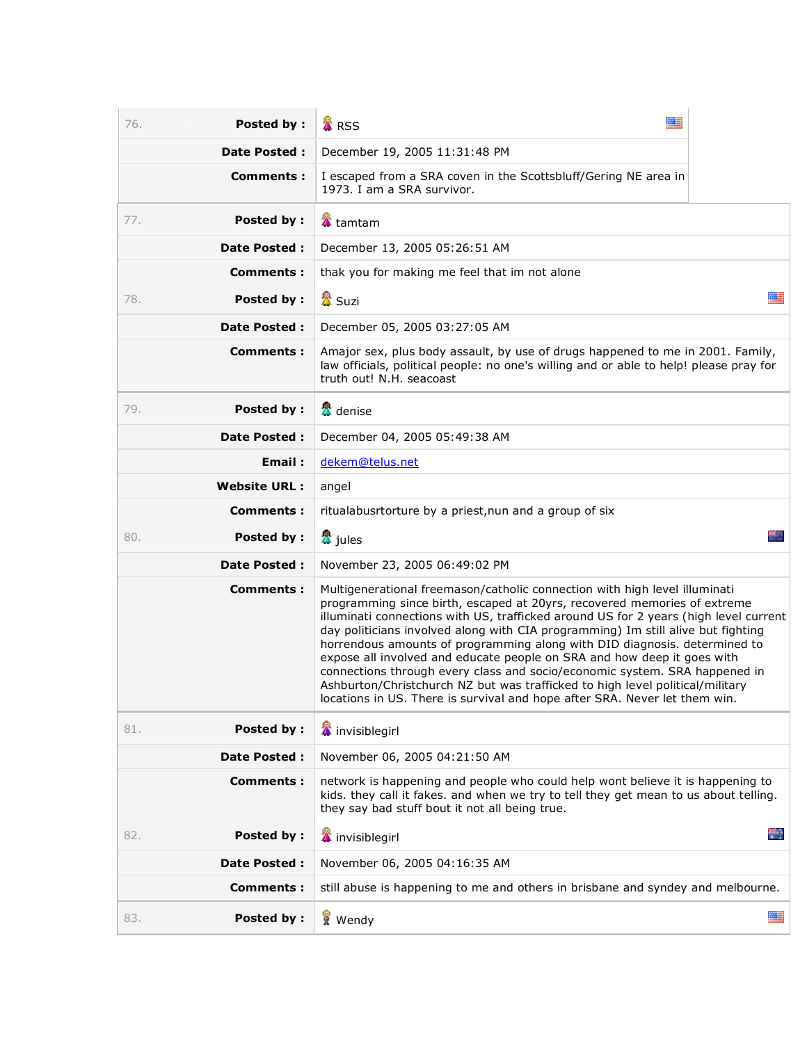| 76. | Posted by:          | 麗<br><b>A</b> RSS                                                                                                                                                                                                                                                                                                                                                                                                                                                                                                                                                                                                                                                                                                                       |             |
|-----|---------------------|-----------------------------------------------------------------------------------------------------------------------------------------------------------------------------------------------------------------------------------------------------------------------------------------------------------------------------------------------------------------------------------------------------------------------------------------------------------------------------------------------------------------------------------------------------------------------------------------------------------------------------------------------------------------------------------------------------------------------------------------|-------------|
|     | <b>Date Posted:</b> | December 19, 2005 11:31:48 PM                                                                                                                                                                                                                                                                                                                                                                                                                                                                                                                                                                                                                                                                                                           |             |
|     | Comments :          | I escaped from a SRA coven in the Scottsbluff/Gering NE area in<br>1973. I am a SRA survivor.                                                                                                                                                                                                                                                                                                                                                                                                                                                                                                                                                                                                                                           |             |
| 77. | Posted by:          | <b>當</b> tamtam                                                                                                                                                                                                                                                                                                                                                                                                                                                                                                                                                                                                                                                                                                                         |             |
|     | <b>Date Posted:</b> | December 13, 2005 05:26:51 AM                                                                                                                                                                                                                                                                                                                                                                                                                                                                                                                                                                                                                                                                                                           |             |
|     | <b>Comments:</b>    | thak you for making me feel that im not alone                                                                                                                                                                                                                                                                                                                                                                                                                                                                                                                                                                                                                                                                                           |             |
| 78. | Posted by:          | 魯<br>Suzi<br>四三                                                                                                                                                                                                                                                                                                                                                                                                                                                                                                                                                                                                                                                                                                                         |             |
|     | <b>Date Posted:</b> | December 05, 2005 03:27:05 AM                                                                                                                                                                                                                                                                                                                                                                                                                                                                                                                                                                                                                                                                                                           |             |
|     | <b>Comments:</b>    | Amajor sex, plus body assault, by use of drugs happened to me in 2001. Family,<br>law officials, political people: no one's willing and or able to help! please pray for<br>truth out! N.H. seacoast                                                                                                                                                                                                                                                                                                                                                                                                                                                                                                                                    |             |
| 79. | Posted by:          | <mark>公</mark> denise                                                                                                                                                                                                                                                                                                                                                                                                                                                                                                                                                                                                                                                                                                                   |             |
|     | <b>Date Posted:</b> | December 04, 2005 05:49:38 AM                                                                                                                                                                                                                                                                                                                                                                                                                                                                                                                                                                                                                                                                                                           |             |
|     | Email:              | dekem@telus.net                                                                                                                                                                                                                                                                                                                                                                                                                                                                                                                                                                                                                                                                                                                         |             |
|     | <b>Website URL:</b> | angel                                                                                                                                                                                                                                                                                                                                                                                                                                                                                                                                                                                                                                                                                                                                   |             |
|     | Comments:           | ritualabusrtorture by a priest, nun and a group of six                                                                                                                                                                                                                                                                                                                                                                                                                                                                                                                                                                                                                                                                                  |             |
| 80. | Posted by:          | <mark>公</mark> jules                                                                                                                                                                                                                                                                                                                                                                                                                                                                                                                                                                                                                                                                                                                    |             |
|     | <b>Date Posted:</b> | November 23, 2005 06:49:02 PM                                                                                                                                                                                                                                                                                                                                                                                                                                                                                                                                                                                                                                                                                                           |             |
|     | <b>Comments:</b>    | Multigenerational freemason/catholic connection with high level illuminati<br>programming since birth, escaped at 20yrs, recovered memories of extreme<br>illuminati connections with US, trafficked around US for 2 years (high level current<br>day politicians involved along with CIA programming) Im still alive but fighting<br>horrendous amounts of programming along with DID diagnosis. determined to<br>expose all involved and educate people on SRA and how deep it goes with<br>connections through every class and socio/economic system. SRA happened in<br>Ashburton/Christchurch NZ but was trafficked to high level political/military<br>locations in US. There is survival and hope after SRA. Never let them win. |             |
| 81. | Posted by:          | <b>當</b> invisiblegirl                                                                                                                                                                                                                                                                                                                                                                                                                                                                                                                                                                                                                                                                                                                  |             |
|     | <b>Date Posted:</b> | November 06, 2005 04:21:50 AM                                                                                                                                                                                                                                                                                                                                                                                                                                                                                                                                                                                                                                                                                                           |             |
|     | <b>Comments:</b>    | network is happening and people who could help wont believe it is happening to<br>kids, they call it fakes, and when we try to tell they get mean to us about telling.<br>they say bad stuff bout it not all being true.                                                                                                                                                                                                                                                                                                                                                                                                                                                                                                                |             |
| 82. | <b>Posted by:</b>   | invisiblegirl                                                                                                                                                                                                                                                                                                                                                                                                                                                                                                                                                                                                                                                                                                                           | <b>Side</b> |
|     | Date Posted :       | November 06, 2005 04:16:35 AM                                                                                                                                                                                                                                                                                                                                                                                                                                                                                                                                                                                                                                                                                                           |             |
|     | Comments:           | still abuse is happening to me and others in brisbane and syndey and melbourne.                                                                                                                                                                                                                                                                                                                                                                                                                                                                                                                                                                                                                                                         |             |
| 83. | <b>Posted by:</b>   | Wendy                                                                                                                                                                                                                                                                                                                                                                                                                                                                                                                                                                                                                                                                                                                                   | ≝           |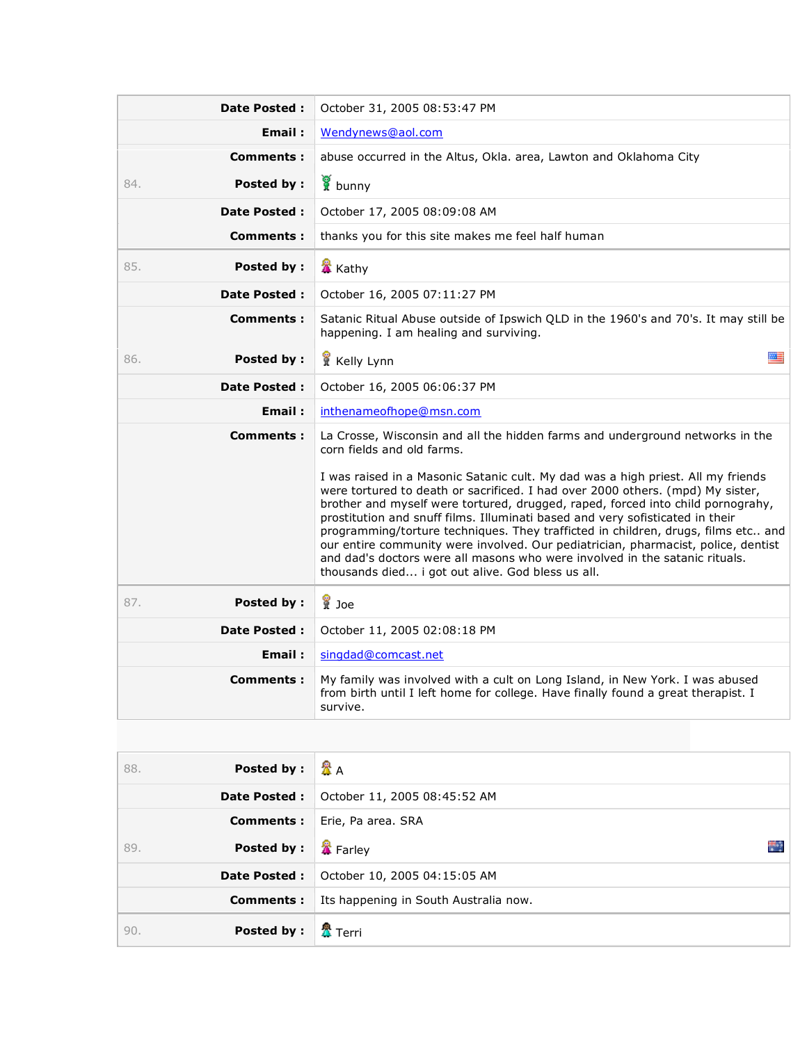| <b>Date Posted:</b>      | October 31, 2005 08:53:47 PM                                                                                                                                                                                                                                                                                                                                                                                                                                                                                                                                                                                                                         |  |
|--------------------------|------------------------------------------------------------------------------------------------------------------------------------------------------------------------------------------------------------------------------------------------------------------------------------------------------------------------------------------------------------------------------------------------------------------------------------------------------------------------------------------------------------------------------------------------------------------------------------------------------------------------------------------------------|--|
| Email:                   | Wendynews@aol.com                                                                                                                                                                                                                                                                                                                                                                                                                                                                                                                                                                                                                                    |  |
| <b>Comments:</b>         | abuse occurred in the Altus, Okla. area, Lawton and Oklahoma City                                                                                                                                                                                                                                                                                                                                                                                                                                                                                                                                                                                    |  |
| Posted by:<br>84.        | bunny                                                                                                                                                                                                                                                                                                                                                                                                                                                                                                                                                                                                                                                |  |
| <b>Date Posted:</b>      | October 17, 2005 08:09:08 AM                                                                                                                                                                                                                                                                                                                                                                                                                                                                                                                                                                                                                         |  |
| <b>Comments:</b>         | thanks you for this site makes me feel half human                                                                                                                                                                                                                                                                                                                                                                                                                                                                                                                                                                                                    |  |
| 85.<br>Posted by:        | <b>X</b> Kathy                                                                                                                                                                                                                                                                                                                                                                                                                                                                                                                                                                                                                                       |  |
| <b>Date Posted:</b>      | October 16, 2005 07:11:27 PM                                                                                                                                                                                                                                                                                                                                                                                                                                                                                                                                                                                                                         |  |
| <b>Comments:</b>         | Satanic Ritual Abuse outside of Ipswich QLD in the 1960's and 70's. It may still be<br>happening. I am healing and surviving.                                                                                                                                                                                                                                                                                                                                                                                                                                                                                                                        |  |
| <b>Posted by:</b><br>86. | 四三<br>Kelly Lynn                                                                                                                                                                                                                                                                                                                                                                                                                                                                                                                                                                                                                                     |  |
| <b>Date Posted:</b>      | October 16, 2005 06:06:37 PM                                                                                                                                                                                                                                                                                                                                                                                                                                                                                                                                                                                                                         |  |
| Email:                   | inthenameofhope@msn.com                                                                                                                                                                                                                                                                                                                                                                                                                                                                                                                                                                                                                              |  |
| <b>Comments:</b>         | La Crosse, Wisconsin and all the hidden farms and underground networks in the<br>corn fields and old farms.                                                                                                                                                                                                                                                                                                                                                                                                                                                                                                                                          |  |
|                          | I was raised in a Masonic Satanic cult. My dad was a high priest. All my friends<br>were tortured to death or sacrificed. I had over 2000 others. (mpd) My sister,<br>brother and myself were tortured, drugged, raped, forced into child pornograhy,<br>prostitution and snuff films. Illuminati based and very sofisticated in their<br>programming/torture techniques. They trafficted in children, drugs, films etc and<br>our entire community were involved. Our pediatrician, pharmacist, police, dentist<br>and dad's doctors were all masons who were involved in the satanic rituals.<br>thousands died i got out alive. God bless us all. |  |
| 87.<br><b>Posted by:</b> | <b>E</b> Joe                                                                                                                                                                                                                                                                                                                                                                                                                                                                                                                                                                                                                                         |  |
| <b>Date Posted:</b>      | October 11, 2005 02:08:18 PM                                                                                                                                                                                                                                                                                                                                                                                                                                                                                                                                                                                                                         |  |
| Email:                   | singdad@comcast.net                                                                                                                                                                                                                                                                                                                                                                                                                                                                                                                                                                                                                                  |  |
| Comments:                | My family was involved with a cult on Long Island, in New York. I was abused<br>from birth until I left home for college. Have finally found a great therapist. I<br>survive.                                                                                                                                                                                                                                                                                                                                                                                                                                                                        |  |

| 88. | <b>Posted by:</b>   | ☎д                                    |
|-----|---------------------|---------------------------------------|
|     | <b>Date Posted:</b> | October 11, 2005 08:45:52 AM          |
|     | Comments:           | Erie, Pa area. SRA                    |
| 89. | <b>Posted by:</b>   | Farley<br>÷                           |
|     | <b>Date Posted:</b> | October 10, 2005 04:15:05 AM          |
|     | Comments:           | Its happening in South Australia now. |
| 90. | Posted by:          | 魯<br>平 Terri                          |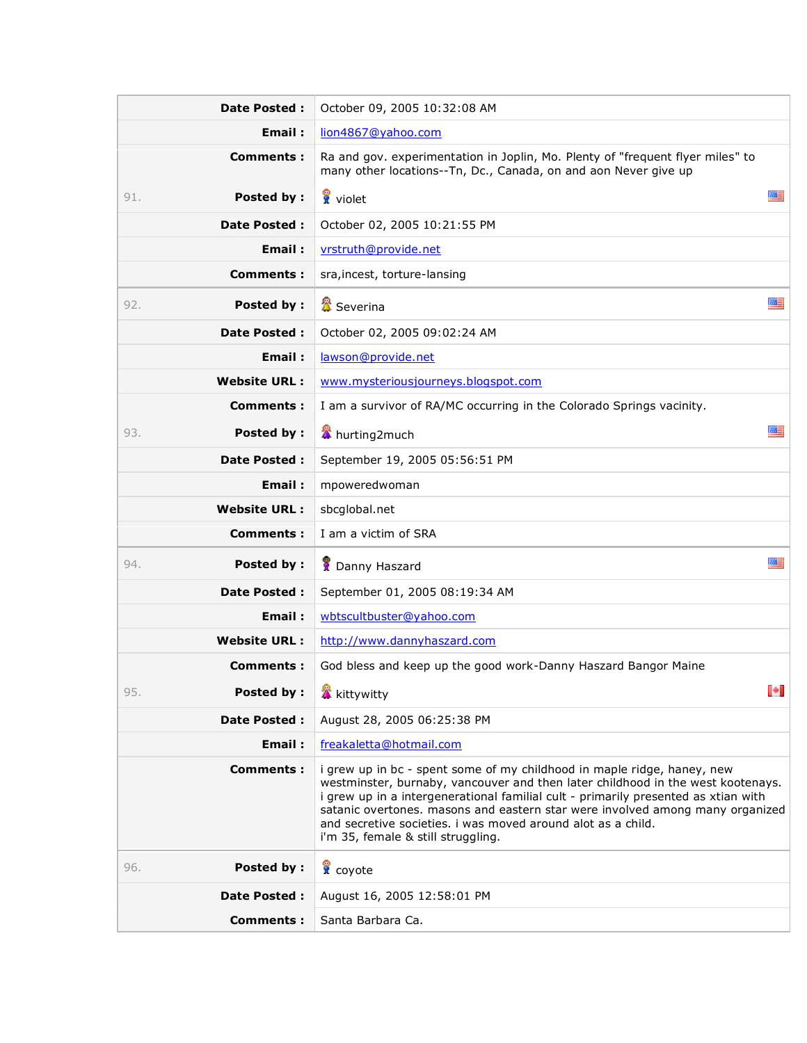| <b>Date Posted:</b>      | October 09, 2005 10:32:08 AM                                                                                                                                                                                                                                                                                                                                                                                                            |  |
|--------------------------|-----------------------------------------------------------------------------------------------------------------------------------------------------------------------------------------------------------------------------------------------------------------------------------------------------------------------------------------------------------------------------------------------------------------------------------------|--|
| Email:                   | lion4867@yahoo.com                                                                                                                                                                                                                                                                                                                                                                                                                      |  |
| Comments:                | Ra and gov. experimentation in Joplin, Mo. Plenty of "frequent flyer miles" to<br>many other locations--Tn, Dc., Canada, on and aon Never give up                                                                                                                                                                                                                                                                                       |  |
| 91.<br>Posted by:        | 墨<br>violet                                                                                                                                                                                                                                                                                                                                                                                                                             |  |
| <b>Date Posted:</b>      | October 02, 2005 10:21:55 PM                                                                                                                                                                                                                                                                                                                                                                                                            |  |
| Email:                   | vrstruth@provide.net                                                                                                                                                                                                                                                                                                                                                                                                                    |  |
| Comments:                | sra, incest, torture-lansing                                                                                                                                                                                                                                                                                                                                                                                                            |  |
| 92.<br>Posted by:        | 羅<br><b>置</b> Severina                                                                                                                                                                                                                                                                                                                                                                                                                  |  |
| <b>Date Posted:</b>      | October 02, 2005 09:02:24 AM                                                                                                                                                                                                                                                                                                                                                                                                            |  |
| Email:                   | lawson@provide.net                                                                                                                                                                                                                                                                                                                                                                                                                      |  |
| <b>Website URL:</b>      | www.mysteriousjourneys.blogspot.com                                                                                                                                                                                                                                                                                                                                                                                                     |  |
| Comments:                | I am a survivor of RA/MC occurring in the Colorado Springs vacinity.                                                                                                                                                                                                                                                                                                                                                                    |  |
| Posted by:<br>93.        | 医三<br><b>X</b> hurting2much                                                                                                                                                                                                                                                                                                                                                                                                             |  |
| <b>Date Posted:</b>      | September 19, 2005 05:56:51 PM                                                                                                                                                                                                                                                                                                                                                                                                          |  |
| Email:                   | mpoweredwoman                                                                                                                                                                                                                                                                                                                                                                                                                           |  |
| <b>Website URL:</b>      | sbcglobal.net                                                                                                                                                                                                                                                                                                                                                                                                                           |  |
|                          | I am a victim of SRA                                                                                                                                                                                                                                                                                                                                                                                                                    |  |
| Comments:                |                                                                                                                                                                                                                                                                                                                                                                                                                                         |  |
| Posted by:<br>94.        | 羅<br>Danny Haszard                                                                                                                                                                                                                                                                                                                                                                                                                      |  |
| Date Posted :            | September 01, 2005 08:19:34 AM                                                                                                                                                                                                                                                                                                                                                                                                          |  |
| Email:                   | wbtscultbuster@yahoo.com                                                                                                                                                                                                                                                                                                                                                                                                                |  |
| <b>Website URL:</b>      | http://www.dannyhaszard.com                                                                                                                                                                                                                                                                                                                                                                                                             |  |
| <b>Comments:</b>         | God bless and keep up the good work-Danny Haszard Bangor Maine                                                                                                                                                                                                                                                                                                                                                                          |  |
| <b>Posted by:</b><br>95. | ы<br><b>K</b> kittywitty                                                                                                                                                                                                                                                                                                                                                                                                                |  |
| <b>Date Posted:</b>      | August 28, 2005 06:25:38 PM                                                                                                                                                                                                                                                                                                                                                                                                             |  |
| Email:                   | freakaletta@hotmail.com                                                                                                                                                                                                                                                                                                                                                                                                                 |  |
| Comments:                | i grew up in bc - spent some of my childhood in maple ridge, haney, new<br>westminster, burnaby, vancouver and then later childhood in the west kootenays.<br>i grew up in a intergenerational familial cult - primarily presented as xtian with<br>satanic overtones. masons and eastern star were involved among many organized<br>and secretive societies. I was moved around alot as a child.<br>i'm 35, female & still struggling. |  |
| Posted by:<br>96.        | <b>R</b> coyote                                                                                                                                                                                                                                                                                                                                                                                                                         |  |
| <b>Date Posted:</b>      | August 16, 2005 12:58:01 PM                                                                                                                                                                                                                                                                                                                                                                                                             |  |